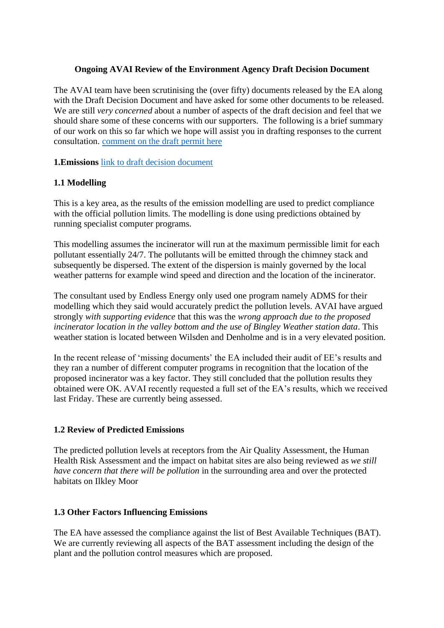#### **Ongoing AVAI Review of the Environment Agency Draft Decision Document**

The AVAI team have been scrutinising the (over fifty) documents released by the EA along with the Draft Decision Document and have asked for some other documents to be released. We are still *very concerned* about a number of aspects of the draft decision and feel that we should share some of these concerns with our supporters. The following is a brief summary of our work on this so far which we hope will assist you in drafting responses to the current consultation. [comment on the draft permit here](https://consult.environment-agency.gov.uk/psc/bd21-4lw-endless-energy-limited-epr-zp3537at/)

**1.Emissions** [link to draft decision document](https://consult.environment-agency.gov.uk/psc/bd21-4lw-endless-energy-limited-epr-zp3537at/supporting_documents/Draft%20Decision%20Document.pdf)

## **1.1 Modelling**

This is a key area, as the results of the emission modelling are used to predict compliance with the official pollution limits. The modelling is done using predictions obtained by running specialist computer programs.

This modelling assumes the incinerator will run at the maximum permissible limit for each pollutant essentially 24/7. The pollutants will be emitted through the chimney stack and subsequently be dispersed. The extent of the dispersion is mainly governed by the local weather patterns for example wind speed and direction and the location of the incinerator.

The consultant used by Endless Energy only used one program namely ADMS for their modelling which they said would accurately predict the pollution levels. AVAI have argued strongly *with supporting evidence* that this was the *wrong approach due to the proposed incinerator location in the valley bottom and the use of Bingley Weather station data*. This weather station is located between Wilsden and Denholme and is in a very elevated position.

In the recent release of 'missing documents' the EA included their audit of EE's results and they ran a number of different computer programs in recognition that the location of the proposed incinerator was a key factor. They still concluded that the pollution results they obtained were OK. AVAI recently requested a full set of the EA's results, which we received last Friday. These are currently being assessed.

## **1.2 Review of Predicted Emissions**

The predicted pollution levels at receptors from the Air Quality Assessment, the Human Health Risk Assessment and the impact on habitat sites are also being reviewed as *we still have concern that there will be pollution* in the surrounding area and over the protected habitats on Ilkley Moor

## **1.3 Other Factors Influencing Emissions**

The EA have assessed the compliance against the list of Best Available Techniques (BAT). We are currently reviewing all aspects of the BAT assessment including the design of the plant and the pollution control measures which are proposed.